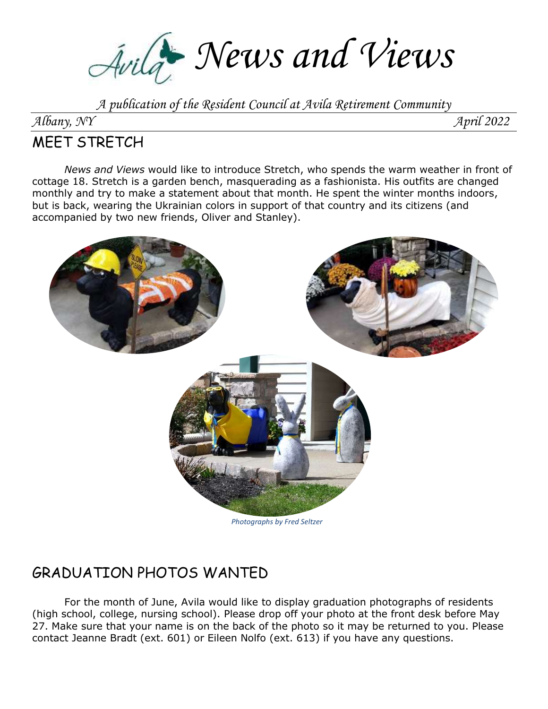Avilat News and Views

*A publication of the Resident Council at Avila Retirement Community*

*Albany, NY April 2022*

## MEET STRETCH

*News and Views* would like to introduce Stretch, who spends the warm weather in front of cottage 18. Stretch is a garden bench, masquerading as a fashionista. His outfits are changed monthly and try to make a statement about that month. He spent the winter months indoors, but is back, wearing the Ukrainian colors in support of that country and its citizens (and accompanied by two new friends, Oliver and Stanley).



# GRADUATION PHOTOS WANTED

For the month of June, Avila would like to display graduation photographs of residents (high school, college, nursing school). Please drop off your photo at the front desk before May 27. Make sure that your name is on the back of the photo so it may be returned to you. Please contact Jeanne Bradt (ext. 601) or Eileen Nolfo (ext. 613) if you have any questions.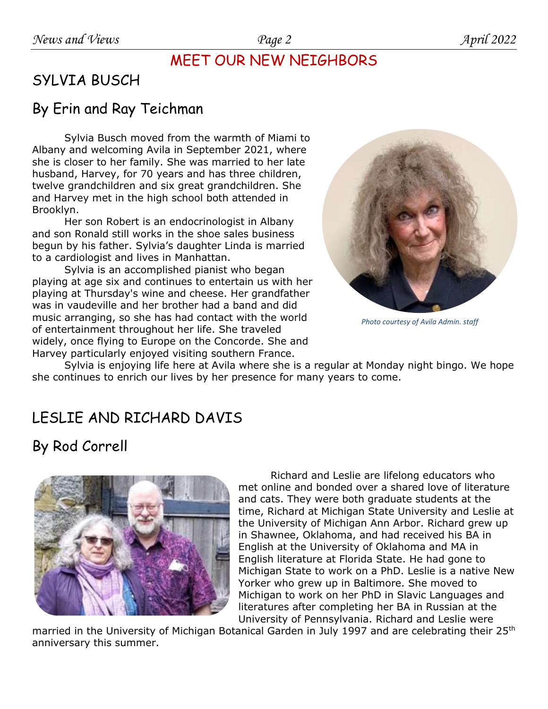## MEET OUR NEW NEIGHBORS

# SYLVIA BUSCH

## By Erin and Ray Teichman

Sylvia Busch moved from the warmth of Miami to Albany and welcoming Avila in September 2021, where she is closer to her family. She was married to her late husband, Harvey, for 70 years and has three children, twelve grandchildren and six great grandchildren. She and Harvey met in the high school both attended in Brooklyn.

Her son Robert is an endocrinologist in Albany and son Ronald still works in the shoe sales business begun by his father. Sylvia's daughter Linda is married to a cardiologist and lives in Manhattan.

Sylvia is an accomplished pianist who began playing at age six and continues to entertain us with her playing at Thursday's wine and cheese. Her grandfather was in vaudeville and her brother had a band and did music arranging, so she has had contact with the world of entertainment throughout her life. She traveled widely, once flying to Europe on the Concorde. She and Harvey particularly enjoyed visiting southern France.



*Photo courtesy of Avila Admin. staff*

Sylvia is enjoying life here at Avila where she is a regular at Monday night bingo. We hope she continues to enrich our lives by her presence for many years to come.

## LESLIE AND RICHARD DAVIS

# By Rod Correll



Richard and Leslie are lifelong educators who met online and bonded over a shared love of literature and cats. They were both graduate students at the time, Richard at Michigan State University and Leslie at the University of Michigan Ann Arbor. Richard grew up in Shawnee, Oklahoma, and had received his BA in English at the University of Oklahoma and MA in English literature at Florida State. He had gone to Michigan State to work on a PhD. Leslie is a native New Yorker who grew up in Baltimore. She moved to Michigan to work on her PhD in Slavic Languages and literatures after completing her BA in Russian at the University of Pennsylvania. Richard and Leslie were

married in the University of Michigan Botanical Garden in July 1997 and are celebrating their 25<sup>th</sup> anniversary this summer.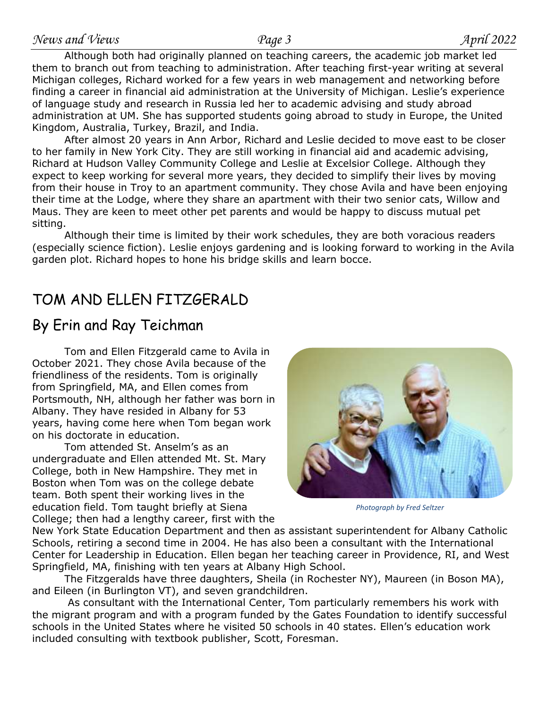Although both had originally planned on teaching careers, the academic job market led them to branch out from teaching to administration. After teaching first-year writing at several Michigan colleges, Richard worked for a few years in web management and networking before finding a career in financial aid administration at the University of Michigan. Leslie's experience of language study and research in Russia led her to academic advising and study abroad administration at UM. She has supported students going abroad to study in Europe, the United Kingdom, Australia, Turkey, Brazil, and India.

After almost 20 years in Ann Arbor, Richard and Leslie decided to move east to be closer to her family in New York City. They are still working in financial aid and academic advising, Richard at Hudson Valley Community College and Leslie at Excelsior College. Although they expect to keep working for several more years, they decided to simplify their lives by moving from their house in Troy to an apartment community. They chose Avila and have been enjoying their time at the Lodge, where they share an apartment with their two senior cats, Willow and Maus. They are keen to meet other pet parents and would be happy to discuss mutual pet sitting.

Although their time is limited by their work schedules, they are both voracious readers (especially science fiction). Leslie enjoys gardening and is looking forward to working in the Avila garden plot. Richard hopes to hone his bridge skills and learn bocce.

## TOM AND ELLEN FITZGERALD

## By Erin and Ray Teichman

Tom and Ellen Fitzgerald came to Avila in October 2021. They chose Avila because of the friendliness of the residents. Tom is originally from Springfield, MA, and Ellen comes from Portsmouth, NH, although her father was born in Albany. They have resided in Albany for 53 years, having come here when Tom began work on his doctorate in education.

Tom attended St. Anselm's as an undergraduate and Ellen attended Mt. St. Mary College, both in New Hampshire. They met in Boston when Tom was on the college debate team. Both spent their working lives in the education field. Tom taught briefly at Siena College; then had a lengthy career, first with the



*Photograph by Fred Seltzer*

New York State Education Department and then as assistant superintendent for Albany Catholic Schools, retiring a second time in 2004. He has also been a consultant with the International Center for Leadership in Education. Ellen began her teaching career in Providence, RI, and West Springfield, MA, finishing with ten years at Albany High School.

The Fitzgeralds have three daughters, Sheila (in Rochester NY), Maureen (in Boson MA), and Eileen (in Burlington VT), and seven grandchildren.

As consultant with the International Center, Tom particularly remembers his work with the migrant program and with a program funded by the Gates Foundation to identify successful schools in the United States where he visited 50 schools in 40 states. Ellen's education work included consulting with textbook publisher, Scott, Foresman.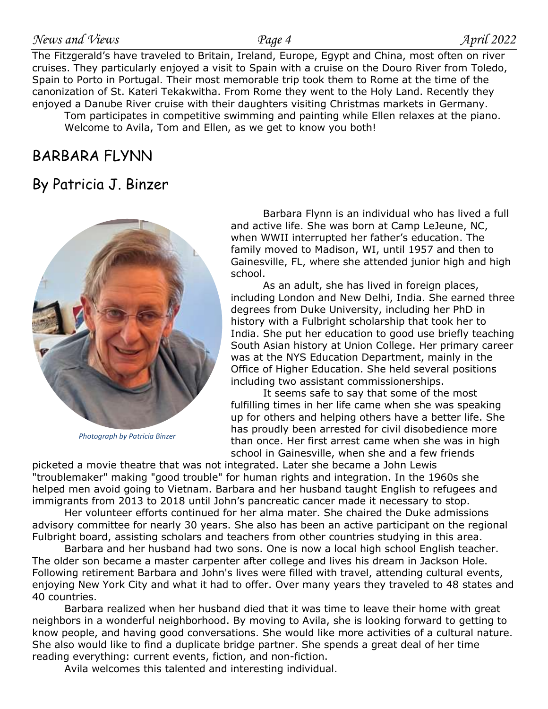The Fitzgerald's have traveled to Britain, Ireland, Europe, Egypt and China, most often on river cruises. They particularly enjoyed a visit to Spain with a cruise on the Douro River from Toledo, Spain to Porto in Portugal. Their most memorable trip took them to Rome at the time of the canonization of St. Kateri Tekakwitha. From Rome they went to the Holy Land. Recently they enjoyed a Danube River cruise with their daughters visiting Christmas markets in Germany.

Tom participates in competitive swimming and painting while Ellen relaxes at the piano. Welcome to Avila, Tom and Ellen, as we get to know you both!

## BARBARA FLYNN

## By Patricia J. Binzer



*Photograph by Patricia Binzer*

Barbara Flynn is an individual who has lived a full and active life. She was born at Camp LeJeune, NC, when WWII interrupted her father's education. The family moved to Madison, WI, until 1957 and then to Gainesville, FL, where she attended junior high and high school.

As an adult, she has lived in foreign places, including London and New Delhi, India. She earned three degrees from Duke University, including her PhD in history with a Fulbright scholarship that took her to India. She put her education to good use briefly teaching South Asian history at Union College. Her primary career was at the NYS Education Department, mainly in the Office of Higher Education. She held several positions including two assistant commissionerships.

It seems safe to say that some of the most fulfilling times in her life came when she was speaking up for others and helping others have a better life. She has proudly been arrested for civil disobedience more than once. Her first arrest came when she was in high school in Gainesville, when she and a few friends

picketed a movie theatre that was not integrated. Later she became a John Lewis "troublemaker" making "good trouble" for human rights and integration. In the 1960s she helped men avoid going to Vietnam. Barbara and her husband taught English to refugees and immigrants from 2013 to 2018 until John's pancreatic cancer made it necessary to stop.

Her volunteer efforts continued for her alma mater. She chaired the Duke admissions advisory committee for nearly 30 years. She also has been an active participant on the regional Fulbright board, assisting scholars and teachers from other countries studying in this area.

Barbara and her husband had two sons. One is now a local high school English teacher. The older son became a master carpenter after college and lives his dream in Jackson Hole. Following retirement Barbara and John's lives were filled with travel, attending cultural events, enjoying New York City and what it had to offer. Over many years they traveled to 48 states and 40 countries.

Barbara realized when her husband died that it was time to leave their home with great neighbors in a wonderful neighborhood. By moving to Avila, she is looking forward to getting to know people, and having good conversations. She would like more activities of a cultural nature. She also would like to find a duplicate bridge partner. She spends a great deal of her time reading everything: current events, fiction, and non-fiction.

Avila welcomes this talented and interesting individual.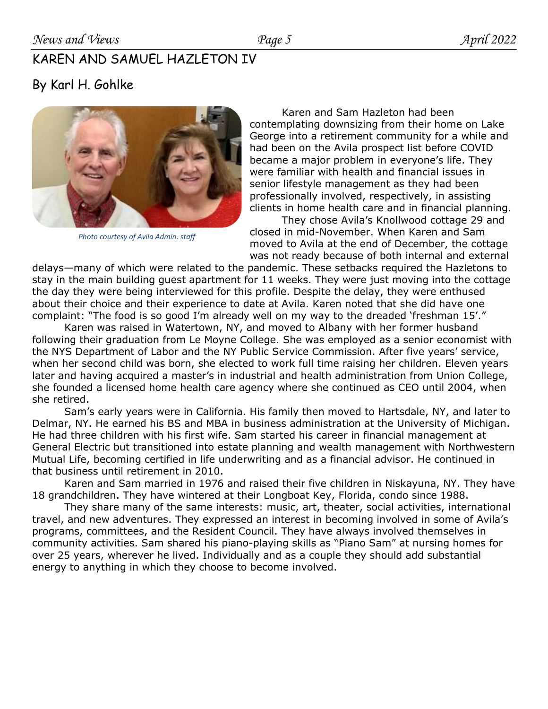### KAREN AND SAMUEL HAZLETON IV

## By Karl H. Gohlke



*Photo courtesy of Avila Admin. staff*

Karen and Sam Hazleton had been contemplating downsizing from their home on Lake George into a retirement community for a while and had been on the Avila prospect list before COVID became a major problem in everyone's life. They were familiar with health and financial issues in senior lifestyle management as they had been professionally involved, respectively, in assisting clients in home health care and in financial planning.

They chose Avila's Knollwood cottage 29 and closed in mid-November. When Karen and Sam moved to Avila at the end of December, the cottage was not ready because of both internal and external

delays—many of which were related to the pandemic. These setbacks required the Hazletons to stay in the main building guest apartment for 11 weeks. They were just moving into the cottage the day they were being interviewed for this profile. Despite the delay, they were enthused about their choice and their experience to date at Avila. Karen noted that she did have one complaint: "The food is so good I'm already well on my way to the dreaded 'freshman 15'."

Karen was raised in Watertown, NY, and moved to Albany with her former husband following their graduation from Le Moyne College. She was employed as a senior economist with the NYS Department of Labor and the NY Public Service Commission. After five years' service, when her second child was born, she elected to work full time raising her children. Eleven years later and having acquired a master's in industrial and health administration from Union College, she founded a licensed home health care agency where she continued as CEO until 2004, when she retired.

Sam's early years were in California. His family then moved to Hartsdale, NY, and later to Delmar, NY. He earned his BS and MBA in business administration at the University of Michigan. He had three children with his first wife. Sam started his career in financial management at General Electric but transitioned into estate planning and wealth management with Northwestern Mutual Life, becoming certified in life underwriting and as a financial advisor. He continued in that business until retirement in 2010.

Karen and Sam married in 1976 and raised their five children in Niskayuna, NY. They have 18 grandchildren. They have wintered at their Longboat Key, Florida, condo since 1988.

They share many of the same interests: music, art, theater, social activities, international travel, and new adventures. They expressed an interest in becoming involved in some of Avila's programs, committees, and the Resident Council. They have always involved themselves in community activities. Sam shared his piano-playing skills as "Piano Sam" at nursing homes for over 25 years, wherever he lived. Individually and as a couple they should add substantial energy to anything in which they choose to become involved.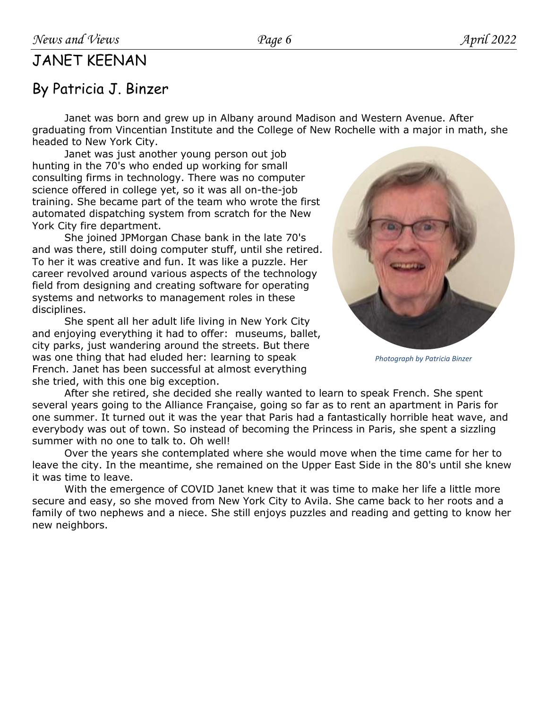## JANET KEENAN

## By Patricia J. Binzer

Janet was born and grew up in Albany around Madison and Western Avenue. After graduating from Vincentian Institute and the College of New Rochelle with a major in math, she headed to New York City.

Janet was just another young person out job hunting in the 70's who ended up working for small consulting firms in technology. There was no computer science offered in college yet, so it was all on-the-job training. She became part of the team who wrote the first automated dispatching system from scratch for the New York City fire department.

She joined JPMorgan Chase bank in the late 70's and was there, still doing computer stuff, until she retired. To her it was creative and fun. It was like a puzzle. Her career revolved around various aspects of the technology field from designing and creating software for operating systems and networks to management roles in these disciplines.

She spent all her adult life living in New York City and enjoying everything it had to offer: museums, ballet, city parks, just wandering around the streets. But there was one thing that had eluded her: learning to speak French. Janet has been successful at almost everything she tried, with this one big exception.

*Photograph by Patricia Binzer*

After she retired, she decided she really wanted to learn to speak French. She spent several years going to the Alliance Française, going so far as to rent an apartment in Paris for one summer. It turned out it was the year that Paris had a fantastically horrible heat wave, and everybody was out of town. So instead of becoming the Princess in Paris, she spent a sizzling summer with no one to talk to. Oh well!

Over the years she contemplated where she would move when the time came for her to leave the city. In the meantime, she remained on the Upper East Side in the 80's until she knew it was time to leave.

With the emergence of COVID Janet knew that it was time to make her life a little more secure and easy, so she moved from New York City to Avila. She came back to her roots and a family of two nephews and a niece. She still enjoys puzzles and reading and getting to know her new neighbors.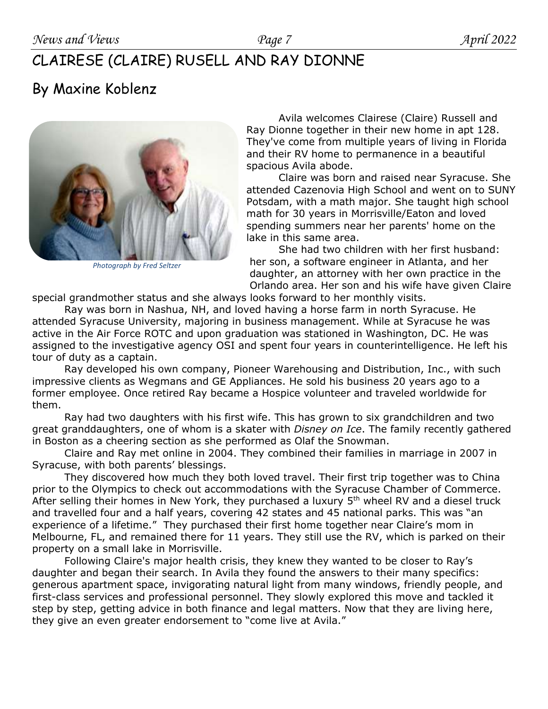# CLAIRESE (CLAIRE) RUSELL AND RAY DIONNE

## By Maxine Koblenz



*Photograph by Fred Seltzer*

Avila welcomes Clairese (Claire) Russell and Ray Dionne together in their new home in apt 128. They've come from multiple years of living in Florida and their RV home to permanence in a beautiful spacious Avila abode.

Claire was born and raised near Syracuse. She attended Cazenovia High School and went on to SUNY Potsdam, with a math major. She taught high school math for 30 years in Morrisville/Eaton and loved spending summers near her parents' home on the lake in this same area.

She had two children with her first husband: her son, a software engineer in Atlanta, and her daughter, an attorney with her own practice in the Orlando area. Her son and his wife have given Claire

special grandmother status and she always looks forward to her monthly visits.

Ray was born in Nashua, NH, and loved having a horse farm in north Syracuse. He attended Syracuse University, majoring in business management. While at Syracuse he was active in the Air Force ROTC and upon graduation was stationed in Washington, DC. He was assigned to the investigative agency OSI and spent four years in counterintelligence. He left his tour of duty as a captain.

Ray developed his own company, Pioneer Warehousing and Distribution, Inc., with such impressive clients as Wegmans and GE Appliances. He sold his business 20 years ago to a former employee. Once retired Ray became a Hospice volunteer and traveled worldwide for them.

Ray had two daughters with his first wife. This has grown to six grandchildren and two great granddaughters, one of whom is a skater with *Disney on Ice*. The family recently gathered in Boston as a cheering section as she performed as Olaf the Snowman.

Claire and Ray met online in 2004. They combined their families in marriage in 2007 in Syracuse, with both parents' blessings.

They discovered how much they both loved travel. Their first trip together was to China prior to the Olympics to check out accommodations with the Syracuse Chamber of Commerce. After selling their homes in New York, they purchased a luxury 5<sup>th</sup> wheel RV and a diesel truck and travelled four and a half years, covering 42 states and 45 national parks. This was "an experience of a lifetime." They purchased their first home together near Claire's mom in Melbourne, FL, and remained there for 11 years. They still use the RV, which is parked on their property on a small lake in Morrisville.

Following Claire's major health crisis, they knew they wanted to be closer to Ray's daughter and began their search. In Avila they found the answers to their many specifics: generous apartment space, invigorating natural light from many windows, friendly people, and first-class services and professional personnel. They slowly explored this move and tackled it step by step, getting advice in both finance and legal matters. Now that they are living here, they give an even greater endorsement to "come live at Avila."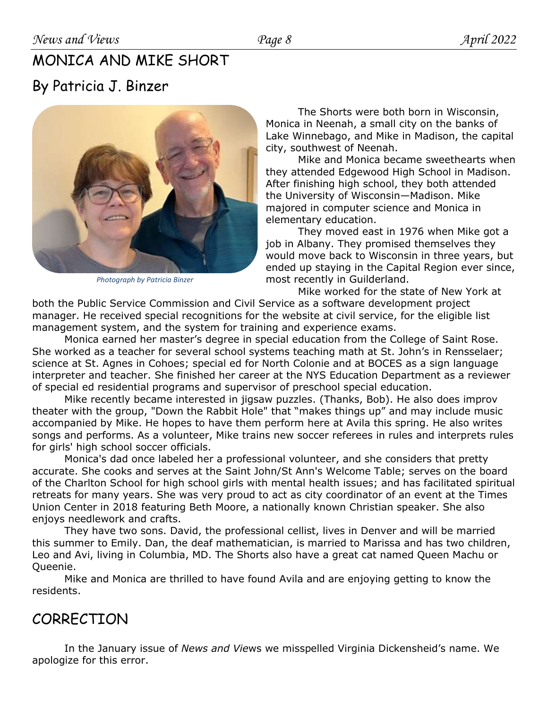# MONICA AND MIKE SHORT By Patricia J. Binzer



*Photograph by Patricia Binzer*

The Shorts were both born in Wisconsin, Monica in Neenah, a small city on the banks of Lake Winnebago, and Mike in Madison, the capital city, southwest of Neenah.

Mike and Monica became sweethearts when they attended Edgewood High School in Madison. After finishing high school, they both attended the University of Wisconsin—Madison. Mike majored in computer science and Monica in elementary education.

They moved east in 1976 when Mike got a job in Albany. They promised themselves they would move back to Wisconsin in three years, but ended up staying in the Capital Region ever since, most recently in Guilderland.

Mike worked for the state of New York at both the Public Service Commission and Civil Service as a software development project manager. He received special recognitions for the website at civil service, for the eligible list management system, and the system for training and experience exams.

Monica earned her master's degree in special education from the College of Saint Rose. She worked as a teacher for several school systems teaching math at St. John's in Rensselaer; science at St. Agnes in Cohoes; special ed for North Colonie and at BOCES as a sign language interpreter and teacher. She finished her career at the NYS Education Department as a reviewer of special ed residential programs and supervisor of preschool special education.

Mike recently became interested in jigsaw puzzles. (Thanks, Bob). He also does improv theater with the group, "Down the Rabbit Hole" that "makes things up" and may include music accompanied by Mike. He hopes to have them perform here at Avila this spring. He also writes songs and performs. As a volunteer, Mike trains new soccer referees in rules and interprets rules for girls' high school soccer officials.

Monica's dad once labeled her a professional volunteer, and she considers that pretty accurate. She cooks and serves at the Saint John/St Ann's Welcome Table; serves on the board of the Charlton School for high school girls with mental health issues; and has facilitated spiritual retreats for many years. She was very proud to act as city coordinator of an event at the Times Union Center in 2018 featuring Beth Moore, a nationally known Christian speaker. She also enjoys needlework and crafts.

They have two sons. David, the professional cellist, lives in Denver and will be married this summer to Emily. Dan, the deaf mathematician, is married to Marissa and has two children, Leo and Avi, living in Columbia, MD. The Shorts also have a great cat named Queen Machu or Queenie.

Mike and Monica are thrilled to have found Avila and are enjoying getting to know the residents.

## **CORRECTION**

In the January issue of *News and Vie*ws we misspelled Virginia Dickensheid's name. We apologize for this error.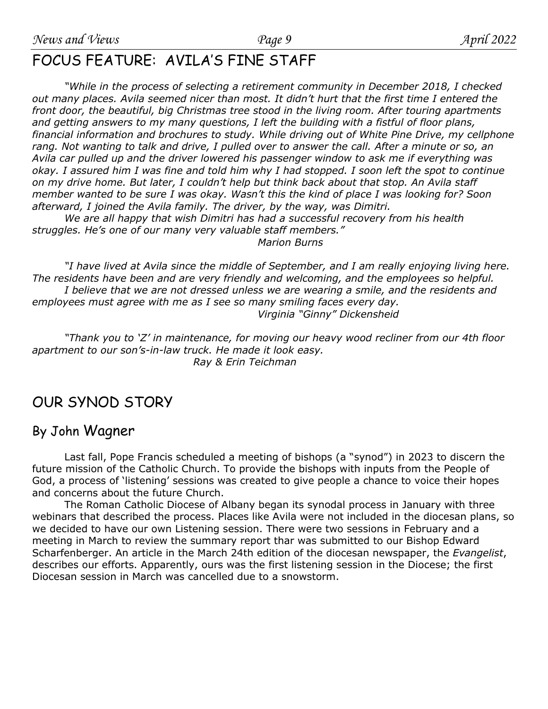## FOCUS FEATURE: AVILA'S FINE STAFF

*"While in the process of selecting a retirement community in December 2018, I checked out many places. Avila seemed nicer than most. It didn't hurt that the first time I entered the front door, the beautiful, big Christmas tree stood in the living room. After touring apartments and getting answers to my many questions, I left the building with a fistful of floor plans, financial information and brochures to study. While driving out of White Pine Drive, my cellphone rang. Not wanting to talk and drive, I pulled over to answer the call. After a minute or so, an Avila car pulled up and the driver lowered his passenger window to ask me if everything was okay. I assured him I was fine and told him why I had stopped. I soon left the spot to continue on my drive home. But later, I couldn't help but think back about that stop. An Avila staff member wanted to be sure I was okay. Wasn't this the kind of place I was looking for? Soon afterward, I joined the Avila family. The driver, by the way, was Dimitri.* 

*We are all happy that wish Dimitri has had a successful recovery from his health struggles. He's one of our many very valuable staff members." Marion Burns*

*"I have lived at Avila since the middle of September, and I am really enjoying living here. The residents have been and are very friendly and welcoming, and the employees so helpful. I believe that we are not dressed unless we are wearing a smile, and the residents and employees must agree with me as I see so many smiling faces every day. Virginia "Ginny" Dickensheid* 

*"Thank you to 'Z' in maintenance, for moving our heavy wood recliner from our 4th floor apartment to our son's-in-law truck. He made it look easy. Ray & Erin Teichman*

## OUR SYNOD STORY

### By John Wagner

Last fall, Pope Francis scheduled a meeting of bishops (a "synod") in 2023 to discern the future mission of the Catholic Church. To provide the bishops with inputs from the People of God, a process of 'listening' sessions was created to give people a chance to voice their hopes and concerns about the future Church.

The Roman Catholic Diocese of Albany began its synodal process in January with three webinars that described the process. Places like Avila were not included in the diocesan plans, so we decided to have our own Listening session. There were two sessions in February and a meeting in March to review the summary report thar was submitted to our Bishop Edward Scharfenberger. An article in the March 24th edition of the diocesan newspaper, the *Evangelist*, describes our efforts. Apparently, ours was the first listening session in the Diocese; the first Diocesan session in March was cancelled due to a snowstorm.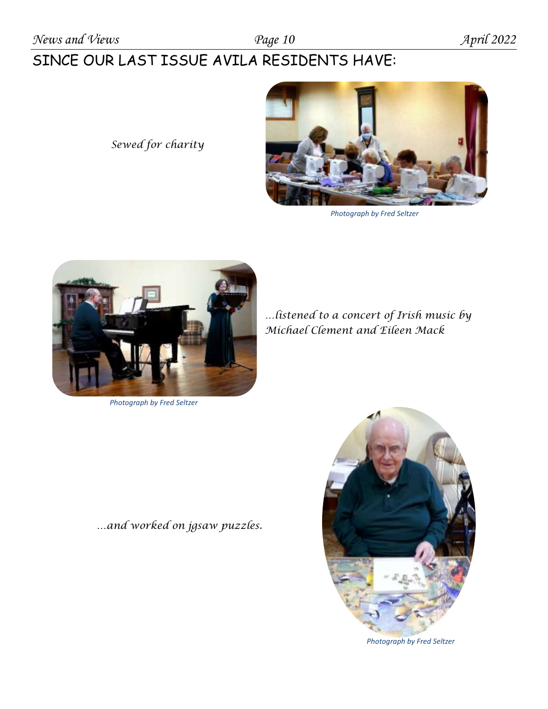# SINCE OUR LAST ISSUE AVILA RESIDENTS HAVE:

 *Sewed for charity*



*Photograph by Fred Seltzer*



*Photograph by Fred Seltzer*

*…listened to a concert of Irish music by Michael Clement and Eileen Mack*

*…and worked on jgsaw puzzles.*



*Photograph by Fred Seltzer*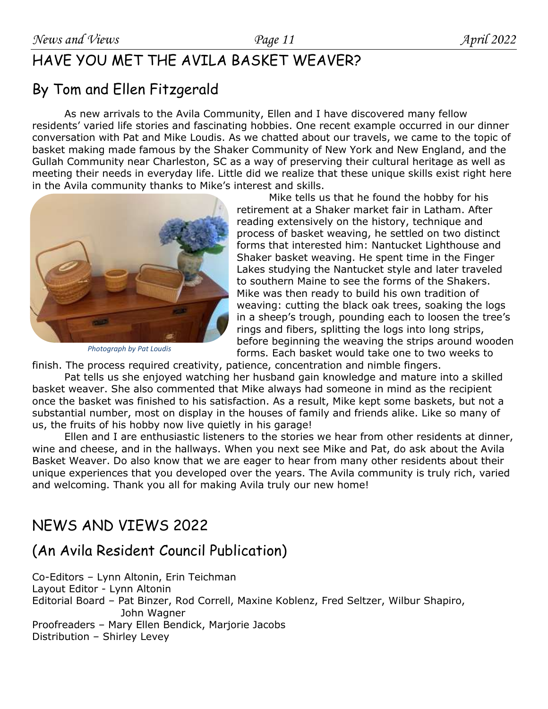# HAVE YOU MET THE AVILA BASKET WEAVER?

# By Tom and Ellen Fitzgerald

As new arrivals to the Avila Community, Ellen and I have discovered many fellow residents' varied life stories and fascinating hobbies. One recent example occurred in our dinner conversation with Pat and Mike Loudis. As we chatted about our travels, we came to the topic of basket making made famous by the Shaker Community of New York and New England, and the Gullah Community near Charleston, SC as a way of preserving their cultural heritage as well as meeting their needs in everyday life. Little did we realize that these unique skills exist right here in the Avila community thanks to Mike's interest and skills.



*Photograph by Pat Loudis*

Mike tells us that he found the hobby for his retirement at a Shaker market fair in Latham. After reading extensively on the history, technique and process of basket weaving, he settled on two distinct forms that interested him: Nantucket Lighthouse and Shaker basket weaving. He spent time in the Finger Lakes studying the Nantucket style and later traveled to southern Maine to see the forms of the Shakers. Mike was then ready to build his own tradition of weaving: cutting the black oak trees, soaking the logs in a sheep's trough, pounding each to loosen the tree's rings and fibers, splitting the logs into long strips, before beginning the weaving the strips around wooden forms. Each basket would take one to two weeks to

finish. The process required creativity, patience, concentration and nimble fingers.

Pat tells us she enjoyed watching her husband gain knowledge and mature into a skilled basket weaver. She also commented that Mike always had someone in mind as the recipient once the basket was finished to his satisfaction. As a result, Mike kept some baskets, but not a substantial number, most on display in the houses of family and friends alike. Like so many of us, the fruits of his hobby now live quietly in his garage!

Ellen and I are enthusiastic listeners to the stories we hear from other residents at dinner, wine and cheese, and in the hallways. When you next see Mike and Pat, do ask about the Avila Basket Weaver. Do also know that we are eager to hear from many other residents about their unique experiences that you developed over the years. The Avila community is truly rich, varied and welcoming. Thank you all for making Avila truly our new home!

# NEWS AND VIEWS 2022

## (An Avila Resident Council Publication)

Co-Editors – Lynn Altonin, Erin Teichman Layout Editor - Lynn Altonin Editorial Board – Pat Binzer, Rod Correll, Maxine Koblenz, Fred Seltzer, Wilbur Shapiro, John Wagner Proofreaders – Mary Ellen Bendick, Marjorie Jacobs Distribution – Shirley Levey